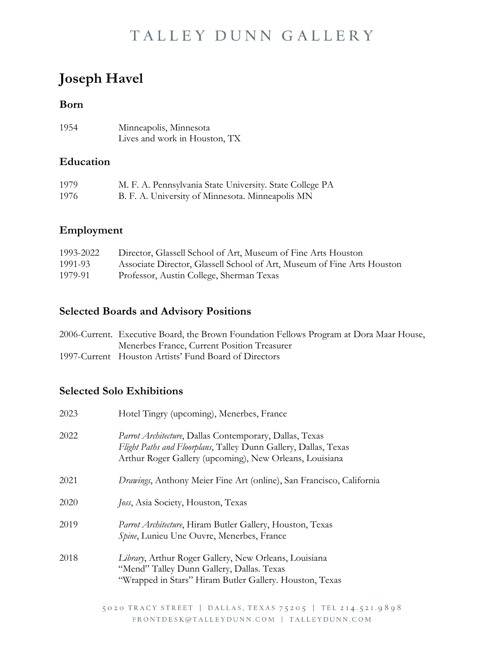## **Joseph Havel**

#### **Born**

| 1954 | Minneapolis, Minnesota        |
|------|-------------------------------|
|      | Lives and work in Houston, TX |

### **Education**

| 1979 | M. F. A. Pennsylvania State University. State College PA |
|------|----------------------------------------------------------|
| 1976 | B. F. A. University of Minnesota. Minneapolis MN         |

### **Employment**

| 1993-2022 | Director, Glassell School of Art, Museum of Fine Arts Houston           |
|-----------|-------------------------------------------------------------------------|
| 1991-93   | Associate Director, Glassell School of Art, Museum of Fine Arts Houston |
| 1979-91   | Professor, Austin College, Sherman Texas                                |

#### **Selected Boards and Advisory Positions**

| 2006-Current. Executive Board, the Brown Foundation Fellows Program at Dora Maar House, |
|-----------------------------------------------------------------------------------------|
| Menerbes France, Current Position Treasurer                                             |
| 1997-Current Houston Artists' Fund Board of Directors                                   |

### **Selected Solo Exhibitions**

| 2023 | Hotel Tingry (upcoming), Menerbes, France                                                                                                                                             |
|------|---------------------------------------------------------------------------------------------------------------------------------------------------------------------------------------|
| 2022 | Parrot Architecture, Dallas Contemporary, Dallas, Texas<br>Flight Paths and Floorplans, Talley Dunn Gallery, Dallas, Texas<br>Arthur Roger Gallery (upcoming), New Orleans, Louisiana |
| 2021 | <i>Drawings</i> , Anthony Meier Fine Art (online), San Francisco, California                                                                                                          |
| 2020 | Joss, Asia Society, Houston, Texas                                                                                                                                                    |
| 2019 | Parrot Architecture, Hiram Butler Gallery, Houston, Texas<br>Spine, Lunieu Une Ouvre, Menerbes, France                                                                                |
| 2018 | Library, Arthur Roger Gallery, New Orleans, Louisiana<br>"Mend" Talley Dunn Gallery, Dallas. Texas<br>"Wrapped in Stars" Hiram Butler Gallery. Houston, Texas                         |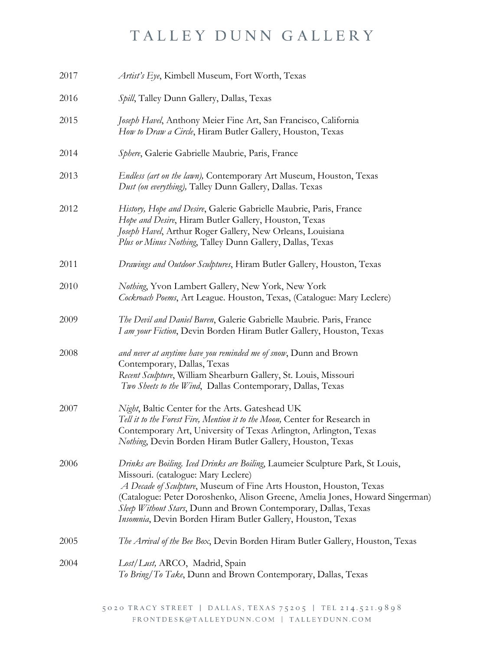| 2017 | Artist's Eye, Kimbell Museum, Fort Worth, Texas                                                                                                                                                                                                                                                                                                                                                                |
|------|----------------------------------------------------------------------------------------------------------------------------------------------------------------------------------------------------------------------------------------------------------------------------------------------------------------------------------------------------------------------------------------------------------------|
| 2016 | Spill, Talley Dunn Gallery, Dallas, Texas                                                                                                                                                                                                                                                                                                                                                                      |
| 2015 | Joseph Havel, Anthony Meier Fine Art, San Francisco, California<br>How to Draw a Circle, Hiram Butler Gallery, Houston, Texas                                                                                                                                                                                                                                                                                  |
| 2014 | Sphere, Galerie Gabrielle Maubrie, Paris, France                                                                                                                                                                                                                                                                                                                                                               |
| 2013 | Endless (art on the lawn), Contemporary Art Museum, Houston, Texas<br>Dust (on everything), Talley Dunn Gallery, Dallas. Texas                                                                                                                                                                                                                                                                                 |
| 2012 | History, Hope and Desire, Galerie Gabrielle Maubrie, Paris, France<br>Hope and Desire, Hiram Butler Gallery, Houston, Texas<br>Joseph Havel, Arthur Roger Gallery, New Orleans, Louisiana<br>Plus or Minus Nothing, Talley Dunn Gallery, Dallas, Texas                                                                                                                                                         |
| 2011 | Drawings and Outdoor Sculptures, Hiram Butler Gallery, Houston, Texas                                                                                                                                                                                                                                                                                                                                          |
| 2010 | Nothing, Yvon Lambert Gallery, New York, New York<br>Cockroach Poems, Art League. Houston, Texas, (Catalogue: Mary Leclere)                                                                                                                                                                                                                                                                                    |
| 2009 | The Devil and Daniel Buren, Galerie Gabrielle Maubrie. Paris, France<br>I am your Fiction, Devin Borden Hiram Butler Gallery, Houston, Texas                                                                                                                                                                                                                                                                   |
| 2008 | and never at anytime have you reminded me of snow, Dunn and Brown<br>Contemporary, Dallas, Texas<br>Recent Sculpture, William Shearburn Gallery, St. Louis, Missouri<br>Two Sheets to the Wind, Dallas Contemporary, Dallas, Texas                                                                                                                                                                             |
| 2007 | Night, Baltic Center for the Arts. Gateshead UK<br>Tell it to the Forest Fire, Mention it to the Moon, Center for Research in<br>Contemporary Art, University of Texas Arlington, Arlington, Texas<br>Nothing, Devin Borden Hiram Butler Gallery, Houston, Texas                                                                                                                                               |
| 2006 | Drinks are Boiling. Iced Drinks are Boiling, Laumeier Sculpture Park, St Louis,<br>Missouri. (catalogue: Mary Leclere)<br>A Decade of Sculpture, Museum of Fine Arts Houston, Houston, Texas<br>(Catalogue: Peter Doroshenko, Alison Greene, Amelia Jones, Howard Singerman)<br>Sleep Without Stars, Dunn and Brown Contemporary, Dallas, Texas<br>Insomnia, Devin Borden Hiram Butler Gallery, Houston, Texas |
| 2005 | The Arrival of the Bee Box, Devin Borden Hiram Butler Gallery, Houston, Texas                                                                                                                                                                                                                                                                                                                                  |
| 2004 | Lost/Lust, ARCO, Madrid, Spain<br>To Bring/To Take, Dunn and Brown Contemporary, Dallas, Texas                                                                                                                                                                                                                                                                                                                 |
|      |                                                                                                                                                                                                                                                                                                                                                                                                                |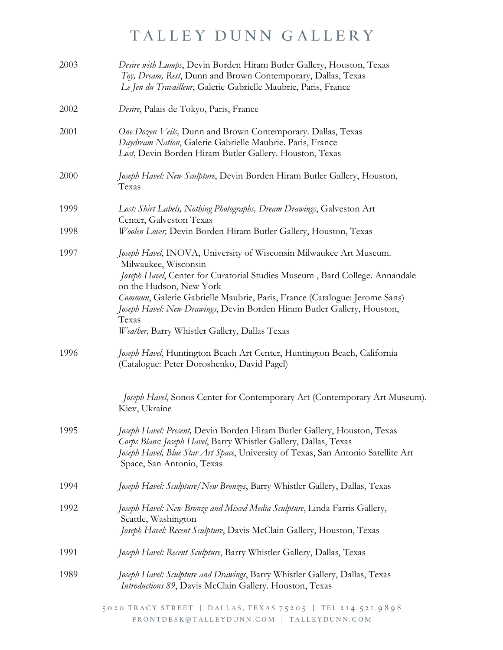| 2003 | Desire with Lumps, Devin Borden Hiram Butler Gallery, Houston, Texas<br>Toy, Dream, Rest, Dunn and Brown Contemporary, Dallas, Texas<br>Le Jen du Travailleur, Galerie Gabrielle Maubrie, Paris, France                                                                                                                                                                                                                |
|------|------------------------------------------------------------------------------------------------------------------------------------------------------------------------------------------------------------------------------------------------------------------------------------------------------------------------------------------------------------------------------------------------------------------------|
| 2002 | Desire, Palais de Tokyo, Paris, France                                                                                                                                                                                                                                                                                                                                                                                 |
| 2001 | One Dozen Veils, Dunn and Brown Contemporary. Dallas, Texas<br>Daydream Nation, Galerie Gabrielle Maubrie. Paris, France<br>Lost, Devin Borden Hiram Butler Gallery. Houston, Texas                                                                                                                                                                                                                                    |
| 2000 | Joseph Havel: New Sculpture, Devin Borden Hiram Butler Gallery, Houston,<br>Texas                                                                                                                                                                                                                                                                                                                                      |
| 1999 | Lost: Shirt Labels, Nothing Photographs, Dream Drawings, Galveston Art<br>Center, Galveston Texas                                                                                                                                                                                                                                                                                                                      |
| 1998 | Woolen Lover, Devin Borden Hiram Butler Gallery, Houston, Texas                                                                                                                                                                                                                                                                                                                                                        |
| 1997 | Joseph Havel, INOVA, University of Wisconsin Milwaukee Art Museum.<br>Milwaukee, Wisconsin<br>Joseph Havel, Center for Curatorial Studies Museum, Bard College. Annandale<br>on the Hudson, New York<br>Commun, Galerie Gabrielle Maubrie, Paris, France (Catalogue: Jerome Sans)<br>Joseph Havel: New Drawings, Devin Borden Hiram Butler Gallery, Houston,<br>Texas<br>Weather, Barry Whistler Gallery, Dallas Texas |
| 1996 | Joseph Havel, Huntington Beach Art Center, Huntington Beach, California<br>(Catalogue: Peter Doroshenko, David Pagel)                                                                                                                                                                                                                                                                                                  |
|      | Joseph Havel, Sonos Center for Contemporary Art (Contemporary Art Museum).<br>Kiev, Ukraine                                                                                                                                                                                                                                                                                                                            |
| 1995 | Joseph Havel: Present, Devin Borden Hiram Butler Gallery, Houston, Texas<br>Corps Blanc: Joseph Havel, Barry Whistler Gallery, Dallas, Texas<br>Joseph Havel, Blue Star Art Space, University of Texas, San Antonio Satellite Art<br>Space, San Antonio, Texas                                                                                                                                                         |
| 1994 | Joseph Havel: Sculpture/New Bronzes, Barry Whistler Gallery, Dallas, Texas                                                                                                                                                                                                                                                                                                                                             |
| 1992 | Joseph Havel: New Bronze and Mixed Media Sculpture, Linda Farris Gallery,<br>Seattle, Washington<br>Joseph Havel: Recent Sculpture, Davis McClain Gallery, Houston, Texas                                                                                                                                                                                                                                              |
| 1991 | Joseph Havel: Recent Sculpture, Barry Whistler Gallery, Dallas, Texas                                                                                                                                                                                                                                                                                                                                                  |
| 1989 | Joseph Havel: Sculpture and Drawings, Barry Whistler Gallery, Dallas, Texas<br>Introductions 89, Davis McClain Gallery. Houston, Texas                                                                                                                                                                                                                                                                                 |
|      | 5020 TRACY STREET   DALLAS, TEXAS 75205   TEL 214.521.9898<br>FRONTDESK@TALLEYDUNN.COM   TALLEYDUNN.COM                                                                                                                                                                                                                                                                                                                |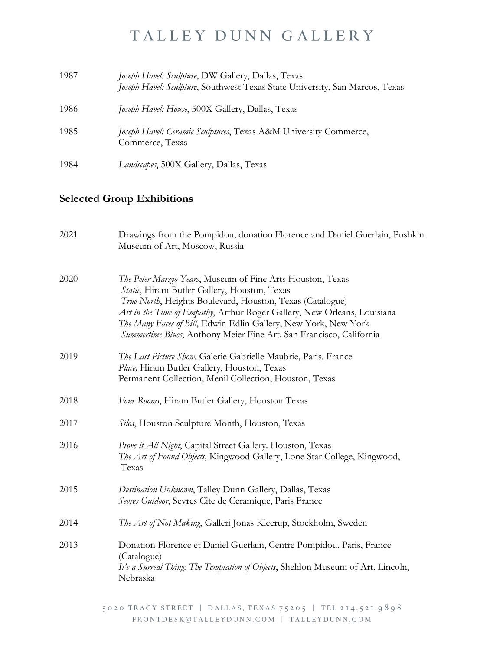| 1987 | Joseph Havel: Sculpture, DW Gallery, Dallas, Texas<br>Joseph Havel: Sculpture, Southwest Texas State University, San Marcos, Texas |
|------|------------------------------------------------------------------------------------------------------------------------------------|
| 1986 | Joseph Havel: House, 500X Gallery, Dallas, Texas                                                                                   |
| 1985 | Joseph Havel: Ceramic Sculptures, Texas A&M University Commerce,<br>Commerce, Texas                                                |
| 1984 | <i>Landscapes</i> , 500X Gallery, Dallas, Texas                                                                                    |

### **Selected Group Exhibitions**

| 2021 | Drawings from the Pompidou; donation Florence and Daniel Guerlain, Pushkin<br>Museum of Art, Moscow, Russia                                                                                                                                                                                                                                                                                   |
|------|-----------------------------------------------------------------------------------------------------------------------------------------------------------------------------------------------------------------------------------------------------------------------------------------------------------------------------------------------------------------------------------------------|
| 2020 | The Peter Marzio Years, Museum of Fine Arts Houston, Texas<br>Static, Hiram Butler Gallery, Houston, Texas<br>True North, Heights Boulevard, Houston, Texas (Catalogue)<br>Art in the Time of Empathy, Arthur Roger Gallery, New Orleans, Louisiana<br>The Many Faces of Bill, Edwin Edlin Gallery, New York, New York<br>Summertime Blues, Anthony Meier Fine Art. San Francisco, California |
| 2019 | The Last Picture Show, Galerie Gabrielle Maubrie, Paris, France<br>Place, Hiram Butler Gallery, Houston, Texas<br>Permanent Collection, Menil Collection, Houston, Texas                                                                                                                                                                                                                      |
| 2018 | Four Rooms, Hiram Butler Gallery, Houston Texas                                                                                                                                                                                                                                                                                                                                               |
| 2017 | Silos, Houston Sculpture Month, Houston, Texas                                                                                                                                                                                                                                                                                                                                                |
| 2016 | Prove it All Night, Capital Street Gallery. Houston, Texas<br>The Art of Found Objects, Kingwood Gallery, Lone Star College, Kingwood,<br>Texas                                                                                                                                                                                                                                               |
| 2015 | Destination Unknown, Talley Dunn Gallery, Dallas, Texas<br>Sevres Outdoor, Sevres Cite de Ceramique, Paris France                                                                                                                                                                                                                                                                             |
| 2014 | The Art of Not Making, Galleri Jonas Kleerup, Stockholm, Sweden                                                                                                                                                                                                                                                                                                                               |
| 2013 | Donation Florence et Daniel Guerlain, Centre Pompidou. Paris, France<br>(Catalogue)<br>It's a Surreal Thing: The Temptation of Objects, Sheldon Museum of Art. Lincoln,<br>Nebraska                                                                                                                                                                                                           |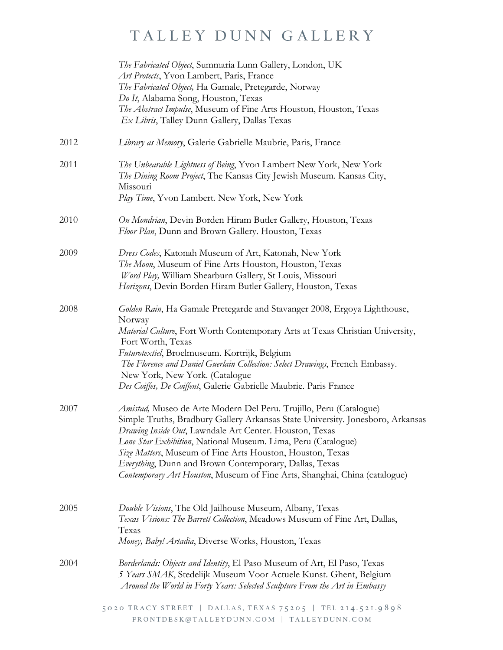|      | The Fabricated Object, Summaria Lunn Gallery, London, UK<br>Art Protects, Yvon Lambert, Paris, France<br>The Fabricated Object, Ha Gamale, Pretegarde, Norway<br>Do It, Alabama Song, Houston, Texas<br>The Abstract Impulse, Museum of Fine Arts Houston, Houston, Texas<br>Ex Libris, Talley Dunn Gallery, Dallas Texas                                                                                                                                                                     |
|------|-----------------------------------------------------------------------------------------------------------------------------------------------------------------------------------------------------------------------------------------------------------------------------------------------------------------------------------------------------------------------------------------------------------------------------------------------------------------------------------------------|
| 2012 | Library as Memory, Galerie Gabrielle Maubrie, Paris, France                                                                                                                                                                                                                                                                                                                                                                                                                                   |
| 2011 | The Unbearable Lightness of Being, Yvon Lambert New York, New York<br>The Dining Room Project, The Kansas City Jewish Museum. Kansas City,<br>Missouri<br>Play Time, Yvon Lambert. New York, New York                                                                                                                                                                                                                                                                                         |
| 2010 | On Mondrian, Devin Borden Hiram Butler Gallery, Houston, Texas<br>Floor Plan, Dunn and Brown Gallery. Houston, Texas                                                                                                                                                                                                                                                                                                                                                                          |
| 2009 | Dress Codes, Katonah Museum of Art, Katonah, New York<br>The Moon, Museum of Fine Arts Houston, Houston, Texas<br>Word Play, William Shearburn Gallery, St Louis, Missouri<br>Horizons, Devin Borden Hiram Butler Gallery, Houston, Texas                                                                                                                                                                                                                                                     |
| 2008 | Golden Rain, Ha Gamale Pretegarde and Stavanger 2008, Ergoya Lighthouse,<br>Norway<br>Material Culture, Fort Worth Contemporary Arts at Texas Christian University,<br>Fort Worth, Texas<br>Futurotextiel, Broelmuseum. Kortrijk, Belgium<br>The Florence and Daniel Guerlain Collection: Select Drawings, French Embassy.<br>New York, New York. (Catalogue<br>Des Coiffes, De Coiffent, Galerie Gabrielle Maubrie. Paris France                                                             |
| 2007 | <i>Amistad</i> , Museo de Arte Modern Del Peru. Trujillo, Peru (Catalogue)<br>Simple Truths, Bradbury Gallery Arkansas State University. Jonesboro, Arkansas<br>Drawing Inside Out, Lawndale Art Center. Houston, Texas<br>Lone Star Exhibition, National Museum. Lima, Peru (Catalogue)<br>Size Matters, Museum of Fine Arts Houston, Houston, Texas<br>Everything, Dunn and Brown Contemporary, Dallas, Texas<br>Contemporary Art Houston, Museum of Fine Arts, Shanghai, China (catalogue) |
| 2005 | Double Visions, The Old Jailhouse Museum, Albany, Texas<br>Texas Visions: The Barrett Collection, Meadows Museum of Fine Art, Dallas,<br>Texas<br>Money, Baby! Artadia, Diverse Works, Houston, Texas                                                                                                                                                                                                                                                                                         |
| 2004 | Borderlands: Objects and Identity, El Paso Museum of Art, El Paso, Texas<br>5 Years SMAK, Stedelijk Museum Voor Actuele Kunst. Ghent, Belgium<br>Around the World in Forty Years: Selected Sculpture From the Art in Embassy                                                                                                                                                                                                                                                                  |
|      | 5020 TRACY STREET   DALLAS, TEXAS 75205   TEL 214.521.9898<br>FRONTDESK@TALLEYDUNN.COM   TALLEYDUNN.COM                                                                                                                                                                                                                                                                                                                                                                                       |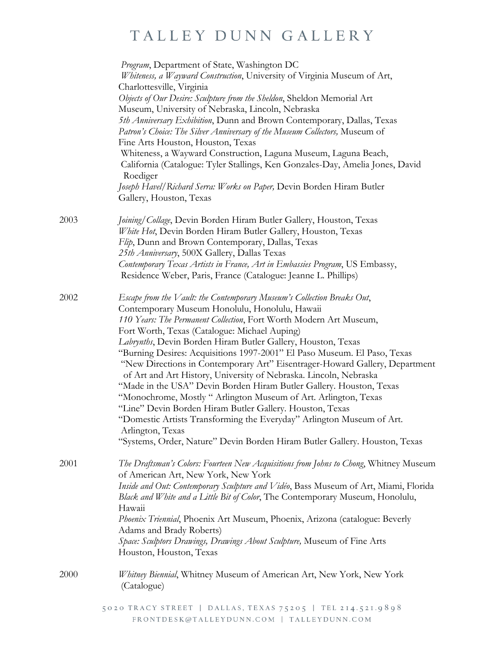|      | Program, Department of State, Washington DC<br>Whiteness, a Wayward Construction, University of Virginia Museum of Art,<br>Charlottesville, Virginia<br>Objects of Our Desire: Sculpture from the Sheldon, Sheldon Memorial Art<br>Museum, University of Nebraska, Lincoln, Nebraska<br>5th Anniversary Exhibition, Dunn and Brown Contemporary, Dallas, Texas<br>Patron's Choice: The Silver Anniversary of the Museum Collectors, Museum of<br>Fine Arts Houston, Houston, Texas<br>Whiteness, a Wayward Construction, Laguna Museum, Laguna Beach,<br>California (Catalogue: Tyler Stallings, Ken Gonzales-Day, Amelia Jones, David<br>Roediger<br>Joseph Havel/Richard Serra: Works on Paper, Devin Borden Hiram Butler<br>Gallery, Houston, Texas                                                                                                                                                                            |
|------|-----------------------------------------------------------------------------------------------------------------------------------------------------------------------------------------------------------------------------------------------------------------------------------------------------------------------------------------------------------------------------------------------------------------------------------------------------------------------------------------------------------------------------------------------------------------------------------------------------------------------------------------------------------------------------------------------------------------------------------------------------------------------------------------------------------------------------------------------------------------------------------------------------------------------------------|
| 2003 | Joining/Collage, Devin Borden Hiram Butler Gallery, Houston, Texas<br>White Hot, Devin Borden Hiram Butler Gallery, Houston, Texas<br>Flip, Dunn and Brown Contemporary, Dallas, Texas<br>25th Anniversary, 500X Gallery, Dallas Texas<br>Contemporary Texas Artists in France, Art in Embassies Program, US Embassy,<br>Residence Weber, Paris, France (Catalogue: Jeanne L. Phillips)                                                                                                                                                                                                                                                                                                                                                                                                                                                                                                                                           |
| 2002 | Escape from the Vault: the Contemporary Museum's Collection Breaks Out,<br>Contemporary Museum Honolulu, Honolulu, Hawaii<br>110 Years: The Permanent Collection, Fort Worth Modern Art Museum,<br>Fort Worth, Texas (Catalogue: Michael Auping)<br>Labrynths, Devin Borden Hiram Butler Gallery, Houston, Texas<br>"Burning Desires: Acquisitions 1997-2001" El Paso Museum. El Paso, Texas<br>"New Directions in Contemporary Art" Eisentrager-Howard Gallery, Department<br>of Art and Art History, University of Nebraska. Lincoln, Nebraska<br>"Made in the USA" Devin Borden Hiram Butler Gallery. Houston, Texas<br>"Monochrome, Mostly " Arlington Museum of Art. Arlington, Texas<br>"Line" Devin Borden Hiram Butler Gallery. Houston, Texas<br>"Domestic Artists Transforming the Everyday" Arlington Museum of Art.<br>Arlington, Texas<br>"Systems, Order, Nature" Devin Borden Hiram Butler Gallery. Houston, Texas |
| 2001 | The Draftsman's Colors: Fourteen New Acquisitions from Johns to Chong, Whitney Museum<br>of American Art, New York, New York<br>Inside and Out: Contemporary Sculpture and Vidéo, Bass Museum of Art, Miami, Florida<br>Black and White and a Little Bit of Color, The Contemporary Museum, Honolulu,<br>Hawaii<br>Phoenix Triennial, Phoenix Art Museum, Phoenix, Arizona (catalogue: Beverly<br>Adams and Brady Roberts)<br>Space: Sculptors Drawings, Drawings About Sculpture, Museum of Fine Arts<br>Houston, Houston, Texas                                                                                                                                                                                                                                                                                                                                                                                                 |
| 2000 | Whitney Biennial, Whitney Museum of American Art, New York, New York<br>(Catalogue)                                                                                                                                                                                                                                                                                                                                                                                                                                                                                                                                                                                                                                                                                                                                                                                                                                               |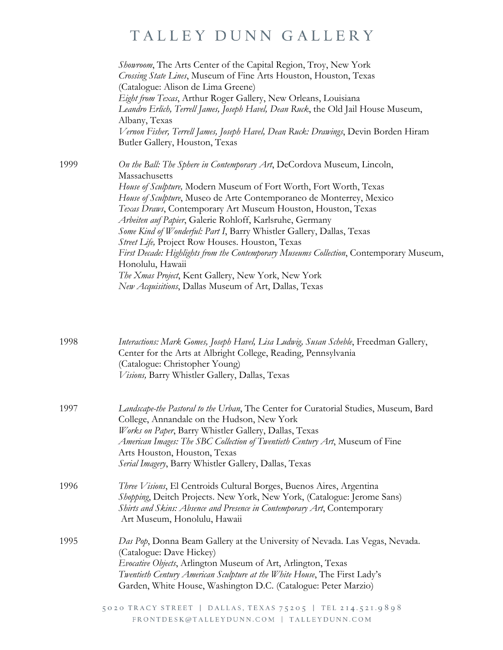|      | Showroom, The Arts Center of the Capital Region, Troy, New York<br>Crossing State Lines, Museum of Fine Arts Houston, Houston, Texas<br>(Catalogue: Alison de Lima Greene)<br>Eight from Texas, Arthur Roger Gallery, New Orleans, Louisiana<br>Leandro Erlich, Terrell James, Joseph Havel, Dean Ruck, the Old Jail House Museum,<br>Albany, Texas<br>Vernon Fisher, Terrell James, Joseph Havel, Dean Ruck: Drawings, Devin Borden Hiram<br>Butler Gallery, Houston, Texas                                                                                                                                                                                                                                                 |
|------|------------------------------------------------------------------------------------------------------------------------------------------------------------------------------------------------------------------------------------------------------------------------------------------------------------------------------------------------------------------------------------------------------------------------------------------------------------------------------------------------------------------------------------------------------------------------------------------------------------------------------------------------------------------------------------------------------------------------------|
| 1999 | On the Ball: The Sphere in Contemporary Art, DeCordova Museum, Lincoln,<br>Massachusetts<br>House of Sculpture, Modern Museum of Fort Worth, Fort Worth, Texas<br>House of Sculpture, Museo de Arte Contemporaneo de Monterrey, Mexico<br>Texas Draws, Contemporary Art Museum Houston, Houston, Texas<br>Arbeiten auf Papier, Galerie Rohloff, Karlsruhe, Germany<br>Some Kind of Wonderful: Part I, Barry Whistler Gallery, Dallas, Texas<br>Street Life, Project Row Houses. Houston, Texas<br>First Decade: Highlights from the Contemporary Museums Collection, Contemporary Museum,<br>Honolulu, Hawaii<br>The Xmas Project, Kent Gallery, New York, New York<br>New Acquisitions, Dallas Museum of Art, Dallas, Texas |
| 1998 | Interactions: Mark Gomes, Joseph Havel, Lisa Ludwig, Susan Scheble, Freedman Gallery,<br>Center for the Arts at Albright College, Reading, Pennsylvania<br>(Catalogue: Christopher Young)<br>Visions, Barry Whistler Gallery, Dallas, Texas                                                                                                                                                                                                                                                                                                                                                                                                                                                                                  |
| 1997 | Landscape-the Pastoral to the Urban, The Center for Curatorial Studies, Museum, Bard<br>College, Annandale on the Hudson, New York<br>Works on Paper, Barry Whistler Gallery, Dallas, Texas<br>American Images: The SBC Collection of Twentieth Century Art, Museum of Fine<br>Arts Houston, Houston, Texas<br>Serial Imagery, Barry Whistler Gallery, Dallas, Texas                                                                                                                                                                                                                                                                                                                                                         |
| 1996 | Three Visions, El Centroids Cultural Borges, Buenos Aires, Argentina<br>Shopping, Deitch Projects. New York, New York, (Catalogue: Jerome Sans)<br>Shirts and Skins: Absence and Presence in Contemporary Art, Contemporary<br>Art Museum, Honolulu, Hawaii                                                                                                                                                                                                                                                                                                                                                                                                                                                                  |
| 1995 | Das Pop, Donna Beam Gallery at the University of Nevada. Las Vegas, Nevada.<br>(Catalogue: Dave Hickey)<br>Evocative Objects, Arlington Museum of Art, Arlington, Texas<br>Twentieth Century American Sculpture at the White House, The First Lady's<br>Garden, White House, Washington D.C. (Catalogue: Peter Marzio)                                                                                                                                                                                                                                                                                                                                                                                                       |
|      | 5020 TRACY STREET   DALLAS, TEXAS 75205   TEL 214.521.9898<br>FRONTDESK@TALLEYDUNN.COM   TALLEYDUNN.COM                                                                                                                                                                                                                                                                                                                                                                                                                                                                                                                                                                                                                      |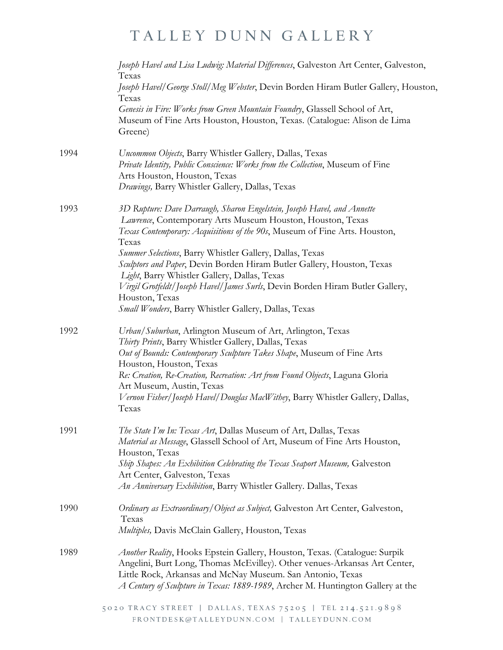|      | Joseph Havel and Lisa Ludwig: Material Differences, Galveston Art Center, Galveston,<br>Texas<br>Joseph Havel/George Stoll/Meg Webster, Devin Borden Hiram Butler Gallery, Houston,                                                                                                                                                                                                                                                                                                                                                                                           |
|------|-------------------------------------------------------------------------------------------------------------------------------------------------------------------------------------------------------------------------------------------------------------------------------------------------------------------------------------------------------------------------------------------------------------------------------------------------------------------------------------------------------------------------------------------------------------------------------|
|      | Texas<br>Genesis in Fire: Works from Green Mountain Foundry, Glassell School of Art,<br>Museum of Fine Arts Houston, Houston, Texas. (Catalogue: Alison de Lima<br>Greene)                                                                                                                                                                                                                                                                                                                                                                                                    |
| 1994 | Uncommon Objects, Barry Whistler Gallery, Dallas, Texas<br>Private Identity, Public Conscience: Works from the Collection, Museum of Fine<br>Arts Houston, Houston, Texas<br>Drawings, Barry Whistler Gallery, Dallas, Texas                                                                                                                                                                                                                                                                                                                                                  |
| 1993 | 3D Rupture: Dave Darraugh, Sharon Engelstein, Joseph Havel, and Annette<br>Lawrence, Contemporary Arts Museum Houston, Houston, Texas<br>Texas Contemporary: Acquisitions of the 90s, Museum of Fine Arts. Houston,<br>Texas<br>Summer Selections, Barry Whistler Gallery, Dallas, Texas<br>Sculptors and Paper, Devin Borden Hiram Butler Gallery, Houston, Texas<br>Light, Barry Whistler Gallery, Dallas, Texas<br>Virgil Grotfeldt/Joseph Havel/James Surls, Devin Borden Hiram Butler Gallery,<br>Houston, Texas<br>Small Wonders, Barry Whistler Gallery, Dallas, Texas |
| 1992 | Urban/Suburban, Arlington Museum of Art, Arlington, Texas<br>Thirty Prints, Barry Whistler Gallery, Dallas, Texas<br>Out of Bounds: Contemporary Sculpture Takes Shape, Museum of Fine Arts<br>Houston, Houston, Texas<br>Re: Creation, Re-Creation, Recreation: Art from Found Objects, Laguna Gloria<br>Art Museum, Austin, Texas<br>Vernon Fisher/Joseph Havel/Douglas MacWithey, Barry Whistler Gallery, Dallas,<br>Texas                                                                                                                                                 |
| 1991 | The State I'm In: Texas Art, Dallas Museum of Art, Dallas, Texas<br>Material as Message, Glassell School of Art, Museum of Fine Arts Houston,<br>Houston, Texas<br>Ship Shapes: An Exhibition Celebrating the Texas Seaport Museum, Galveston<br>Art Center, Galveston, Texas<br>An Anniversary Exhibition, Barry Whistler Gallery. Dallas, Texas                                                                                                                                                                                                                             |
| 1990 | Ordinary as Extraordinary/Object as Subject, Galveston Art Center, Galveston,<br>Texas<br>Multiples, Davis McClain Gallery, Houston, Texas                                                                                                                                                                                                                                                                                                                                                                                                                                    |
| 1989 | Another Reality, Hooks Epstein Gallery, Houston, Texas. (Catalogue: Surpik<br>Angelini, Burt Long, Thomas McEvilley). Other venues-Arkansas Art Center,<br>Little Rock, Arkansas and McNay Museum. San Antonio, Texas<br>A Century of Sculpture in Texas: 1889-1989, Archer M. Huntington Gallery at the                                                                                                                                                                                                                                                                      |
|      | 5020 TRACY STREET   DALLAS, TEXAS 75205   TEL 214.521.9898<br>FRONTDESK@TALLEYDUNN.COM   TALLEYDUNN.COM                                                                                                                                                                                                                                                                                                                                                                                                                                                                       |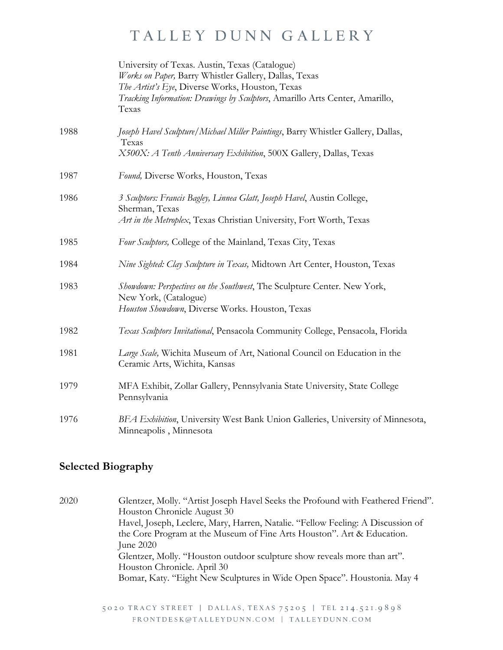|      | University of Texas. Austin, Texas (Catalogue)<br>Works on Paper, Barry Whistler Gallery, Dallas, Texas<br>The Artist's Eye, Diverse Works, Houston, Texas<br>Tracking Information: Drawings by Sculptors, Amarillo Arts Center, Amarillo,<br>Texas |
|------|-----------------------------------------------------------------------------------------------------------------------------------------------------------------------------------------------------------------------------------------------------|
| 1988 | Joseph Havel Sculpture/Michael Miller Paintings, Barry Whistler Gallery, Dallas,<br>Texas<br>X500X: A Tenth Anniversary Exhibition, 500X Gallery, Dallas, Texas                                                                                     |
| 1987 | Found, Diverse Works, Houston, Texas                                                                                                                                                                                                                |
| 1986 | 3 Sculptors: Francis Bagley, Linnea Glatt, Joseph Havel, Austin College,<br>Sherman, Texas<br>Art in the Metroplex, Texas Christian University, Fort Worth, Texas                                                                                   |
| 1985 | Four Sculptors, College of the Mainland, Texas City, Texas                                                                                                                                                                                          |
| 1984 | Nine Sighted: Clay Sculpture in Texas, Midtown Art Center, Houston, Texas                                                                                                                                                                           |
| 1983 | Showdown: Perspectives on the Southwest, The Sculpture Center. New York,<br>New York, (Catalogue)<br>Houston Showdown, Diverse Works. Houston, Texas                                                                                                |
| 1982 | Texas Sculptors Invitational, Pensacola Community College, Pensacola, Florida                                                                                                                                                                       |
| 1981 | Large Scale, Wichita Museum of Art, National Council on Education in the<br>Ceramic Arts, Wichita, Kansas                                                                                                                                           |
| 1979 | MFA Exhibit, Zollar Gallery, Pennsylvania State University, State College<br>Pennsylvania                                                                                                                                                           |
| 1976 | BFA Exhibition, University West Bank Union Galleries, University of Minnesota,<br>Minneapolis, Minnesota                                                                                                                                            |

#### **Selected Biography**

2020 Glentzer, Molly. "Artist Joseph Havel Seeks the Profound with Feathered Friend". Houston Chronicle August 30 Havel, Joseph, Leclere, Mary, Harren, Natalie. "Fellow Feeling: A Discussion of the Core Program at the Museum of Fine Arts Houston". Art & Education. June 2020 Glentzer, Molly. "Houston outdoor sculpture show reveals more than art". Houston Chronicle. April 30 Bomar, Katy. "Eight New Sculptures in Wide Open Space". Houstonia. May 4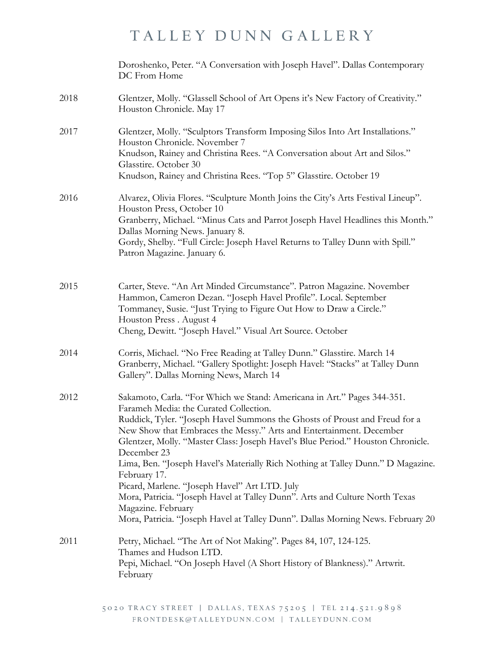|      | Doroshenko, Peter. "A Conversation with Joseph Havel". Dallas Contemporary<br>DC From Home                                                                                                         |
|------|----------------------------------------------------------------------------------------------------------------------------------------------------------------------------------------------------|
| 2018 | Glentzer, Molly. "Glassell School of Art Opens it's New Factory of Creativity."<br>Houston Chronicle. May 17                                                                                       |
| 2017 | Glentzer, Molly. "Sculptors Transform Imposing Silos Into Art Installations."<br>Houston Chronicle. November 7                                                                                     |
|      | Knudson, Rainey and Christina Rees. "A Conversation about Art and Silos."<br>Glasstire. October 30                                                                                                 |
|      | Knudson, Rainey and Christina Rees. "Top 5" Glasstire. October 19                                                                                                                                  |
| 2016 | Alvarez, Olivia Flores. "Sculpture Month Joins the City's Arts Festival Lineup".<br>Houston Press, October 10                                                                                      |
|      | Granberry, Michael. "Minus Cats and Parrot Joseph Havel Headlines this Month."<br>Dallas Morning News. January 8.                                                                                  |
|      | Gordy, Shelby. "Full Circle: Joseph Havel Returns to Talley Dunn with Spill."<br>Patron Magazine. January 6.                                                                                       |
| 2015 | Carter, Steve. "An Art Minded Circumstance". Patron Magazine. November                                                                                                                             |
|      | Hammon, Cameron Dezan. "Joseph Havel Profile". Local. September<br>Tommaney, Susie. "Just Trying to Figure Out How to Draw a Circle."                                                              |
|      | Houston Press. August 4                                                                                                                                                                            |
|      | Cheng, Dewitt. "Joseph Havel." Visual Art Source. October                                                                                                                                          |
| 2014 | Corris, Michael. "No Free Reading at Talley Dunn." Glasstire. March 14<br>Granberry, Michael. "Gallery Spotlight: Joseph Havel: "Stacks" at Talley Dunn<br>Gallery". Dallas Morning News, March 14 |
| 2012 | Sakamoto, Carla. "For Which we Stand: Americana in Art." Pages 344-351.<br>Farameh Media: the Curated Collection.                                                                                  |
|      | Ruddick, Tyler. "Joseph Havel Summons the Ghosts of Proust and Freud for a                                                                                                                         |
|      | New Show that Embraces the Messy." Arts and Entertainment. December<br>Glentzer, Molly. "Master Class: Joseph Havel's Blue Period." Houston Chronicle.<br>December 23                              |
|      | Lima, Ben. "Joseph Havel's Materially Rich Nothing at Talley Dunn." D Magazine.<br>February 17.                                                                                                    |
|      | Picard, Marlene. "Joseph Havel" Art LTD. July<br>Mora, Patricia. "Joseph Havel at Talley Dunn". Arts and Culture North Texas                                                                       |
|      | Magazine. February<br>Mora, Patricia. "Joseph Havel at Talley Dunn". Dallas Morning News. February 20                                                                                              |
| 2011 | Petry, Michael. "The Art of Not Making". Pages 84, 107, 124-125.<br>Thames and Hudson LTD.                                                                                                         |
|      | Pepi, Michael. "On Joseph Havel (A Short History of Blankness)." Artwrit.<br>February                                                                                                              |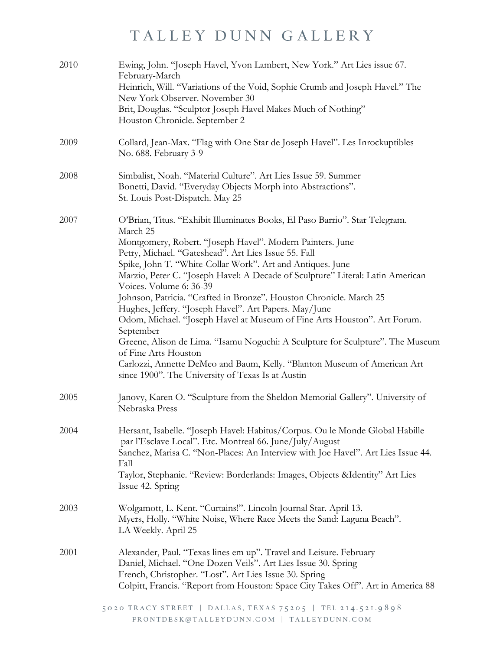| 2010 | Ewing, John. "Joseph Havel, Yvon Lambert, New York." Art Lies issue 67.<br>February-March<br>Heinrich, Will. "Variations of the Void, Sophie Crumb and Joseph Havel." The<br>New York Observer. November 30<br>Brit, Douglas. "Sculptor Joseph Havel Makes Much of Nothing"<br>Houston Chronicle. September 2                                                                                                                                                                                                                                                                                                                                                                                                                                                                                                                                               |
|------|-------------------------------------------------------------------------------------------------------------------------------------------------------------------------------------------------------------------------------------------------------------------------------------------------------------------------------------------------------------------------------------------------------------------------------------------------------------------------------------------------------------------------------------------------------------------------------------------------------------------------------------------------------------------------------------------------------------------------------------------------------------------------------------------------------------------------------------------------------------|
| 2009 | Collard, Jean-Max. "Flag with One Star de Joseph Havel". Les Inrockuptibles<br>No. 688. February 3-9                                                                                                                                                                                                                                                                                                                                                                                                                                                                                                                                                                                                                                                                                                                                                        |
| 2008 | Simbalist, Noah. "Material Culture". Art Lies Issue 59. Summer<br>Bonetti, David. "Everyday Objects Morph into Abstractions".<br>St. Louis Post-Dispatch. May 25                                                                                                                                                                                                                                                                                                                                                                                                                                                                                                                                                                                                                                                                                            |
| 2007 | O'Brian, Titus. "Exhibit Illuminates Books, El Paso Barrio". Star Telegram.<br>March 25<br>Montgomery, Robert. "Joseph Havel". Modern Painters. June<br>Petry, Michael. "Gateshead". Art Lies Issue 55. Fall<br>Spike, John T. "White-Collar Work". Art and Antiques. June<br>Marzio, Peter C. "Joseph Havel: A Decade of Sculpture" Literal: Latin American<br>Voices. Volume 6: 36-39<br>Johnson, Patricia. "Crafted in Bronze". Houston Chronicle. March 25<br>Hughes, Jeffery. "Joseph Havel". Art Papers. May/June<br>Odom, Michael. "Joseph Havel at Museum of Fine Arts Houston". Art Forum.<br>September<br>Greene, Alison de Lima. "Isamu Noguchi: A Sculpture for Sculpture". The Museum<br>of Fine Arts Houston<br>Carlozzi, Annette DeMeo and Baum, Kelly. "Blanton Museum of American Art<br>since 1900". The University of Texas Is at Austin |
| 2005 | Janovy, Karen O. "Sculpture from the Sheldon Memorial Gallery". University of<br>Nebraska Press                                                                                                                                                                                                                                                                                                                                                                                                                                                                                                                                                                                                                                                                                                                                                             |
| 2004 | Hersant, Isabelle. "Joseph Havel: Habitus/Corpus. Ou le Monde Global Habille<br>par l'Esclave Local". Etc. Montreal 66. June/July/August<br>Sanchez, Marisa C. "Non-Places: An Interview with Joe Havel". Art Lies Issue 44.<br>Fall<br>Taylor, Stephanie. "Review: Borderlands: Images, Objects & Identity" Art Lies<br>Issue 42. Spring                                                                                                                                                                                                                                                                                                                                                                                                                                                                                                                   |
| 2003 | Wolgamott, L. Kent. "Curtains!". Lincoln Journal Star. April 13.<br>Myers, Holly. "White Noise, Where Race Meets the Sand: Laguna Beach".<br>LA Weekly. April 25                                                                                                                                                                                                                                                                                                                                                                                                                                                                                                                                                                                                                                                                                            |
| 2001 | Alexander, Paul. "Texas lines em up". Travel and Leisure. February<br>Daniel, Michael. "One Dozen Veils". Art Lies Issue 30. Spring<br>French, Christopher. "Lost". Art Lies Issue 30. Spring<br>Colpitt, Francis. "Report from Houston: Space City Takes Off". Art in America 88                                                                                                                                                                                                                                                                                                                                                                                                                                                                                                                                                                           |
|      | 5020 TRACY STREET   DALLAS, TEXAS 75205   TEL 214.521.9898<br>FRONTDESK@TALLEYDUNN.COM   TALLEYDUNN.COM                                                                                                                                                                                                                                                                                                                                                                                                                                                                                                                                                                                                                                                                                                                                                     |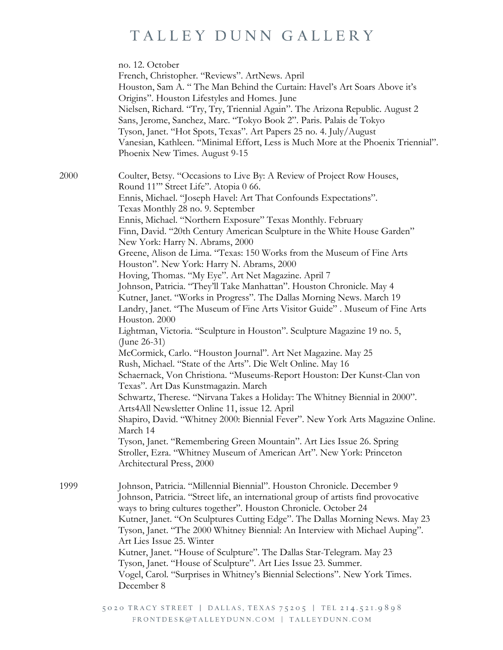|      | no. 12. October<br>French, Christopher. "Reviews". ArtNews. April<br>Houston, Sam A. "The Man Behind the Curtain: Havel's Art Soars Above it's<br>Origins". Houston Lifestyles and Homes. June<br>Nielsen, Richard. "Try, Try, Triennial Again". The Arizona Republic. August 2<br>Sans, Jerome, Sanchez, Marc. "Tokyo Book 2". Paris. Palais de Tokyo<br>Tyson, Janet. "Hot Spots, Texas". Art Papers 25 no. 4. July/August<br>Vanesian, Kathleen. "Minimal Effort, Less is Much More at the Phoenix Triennial".<br>Phoenix New Times. August 9-15                                                                                                                                                                                                                                                                                                                                                                                                                                                                                                                                                                                                                                                                                                                                                                                                                                                                                                                                                                                                                                               |
|------|---------------------------------------------------------------------------------------------------------------------------------------------------------------------------------------------------------------------------------------------------------------------------------------------------------------------------------------------------------------------------------------------------------------------------------------------------------------------------------------------------------------------------------------------------------------------------------------------------------------------------------------------------------------------------------------------------------------------------------------------------------------------------------------------------------------------------------------------------------------------------------------------------------------------------------------------------------------------------------------------------------------------------------------------------------------------------------------------------------------------------------------------------------------------------------------------------------------------------------------------------------------------------------------------------------------------------------------------------------------------------------------------------------------------------------------------------------------------------------------------------------------------------------------------------------------------------------------------------|
| 2000 | Coulter, Betsy. "Occasions to Live By: A Review of Project Row Houses,<br>Round 11" Street Life". Atopia 0 66.<br>Ennis, Michael. "Joseph Havel: Art That Confounds Expectations".<br>Texas Monthly 28 no. 9. September<br>Ennis, Michael. "Northern Exposure" Texas Monthly. February<br>Finn, David. "20th Century American Sculpture in the White House Garden"<br>New York: Harry N. Abrams, 2000<br>Greene, Alison de Lima. "Texas: 150 Works from the Museum of Fine Arts<br>Houston". New York: Harry N. Abrams, 2000<br>Hoving, Thomas. "My Eye". Art Net Magazine. April 7<br>Johnson, Patricia. "They'll Take Manhattan". Houston Chronicle. May 4<br>Kutner, Janet. "Works in Progress". The Dallas Morning News. March 19<br>Landry, Janet. "The Museum of Fine Arts Visitor Guide". Museum of Fine Arts<br>Houston. 2000<br>Lightman, Victoria. "Sculpture in Houston". Sculpture Magazine 19 no. 5,<br>(June 26-31)<br>McCormick, Carlo. "Houston Journal". Art Net Magazine. May 25<br>Rush, Michael. "State of the Arts". Die Welt Online. May 16<br>Schaernack, Von Christiona. "Museums-Report Houston: Der Kunst-Clan von<br>Texas". Art Das Kunstmagazin. March<br>Schwartz, Therese. "Nirvana Takes a Holiday: The Whitney Biennial in 2000".<br>Arts4All Newsletter Online 11, issue 12. April<br>Shapiro, David. "Whitney 2000: Biennial Fever". New York Arts Magazine Online.<br>March 14<br>Tyson, Janet. "Remembering Green Mountain". Art Lies Issue 26. Spring<br>Stroller, Ezra. "Whitney Museum of American Art". New York: Princeton<br>Architectural Press, 2000 |
| 1999 | Johnson, Patricia. "Millennial Biennial". Houston Chronicle. December 9<br>Johnson, Patricia. "Street life, an international group of artists find provocative<br>ways to bring cultures together". Houston Chronicle. October 24<br>Kutner, Janet. "On Sculptures Cutting Edge". The Dallas Morning News. May 23<br>Tyson, Janet. "The 2000 Whitney Biennial: An Interview with Michael Auping".<br>Art Lies Issue 25. Winter<br>Kutner, Janet. "House of Sculpture". The Dallas Star-Telegram. May 23<br>Tyson, Janet. "House of Sculpture". Art Lies Issue 23. Summer.<br>Vogel, Carol. "Surprises in Whitney's Biennial Selections". New York Times.<br>December 8                                                                                                                                                                                                                                                                                                                                                                                                                                                                                                                                                                                                                                                                                                                                                                                                                                                                                                                            |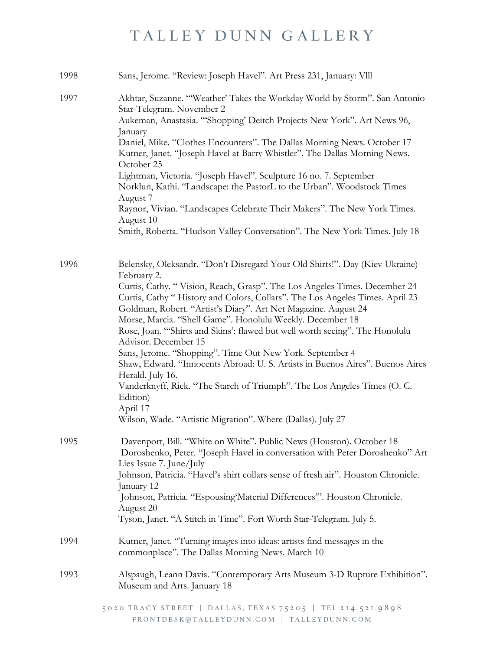| 1998 | Sans, Jerome. "Review: Joseph Havel". Art Press 231, January: VIII                                                                                                                                                                                                                                                                                                                                                                                                                                                                                                                                                                                                                                                                                                                                                                |
|------|-----------------------------------------------------------------------------------------------------------------------------------------------------------------------------------------------------------------------------------------------------------------------------------------------------------------------------------------------------------------------------------------------------------------------------------------------------------------------------------------------------------------------------------------------------------------------------------------------------------------------------------------------------------------------------------------------------------------------------------------------------------------------------------------------------------------------------------|
| 1997 | Akhtar, Suzanne. "Weather' Takes the Workday World by Storm". San Antonio<br>Star-Telegram. November 2<br>Aukeman, Anastasia. "'Shopping' Deitch Projects New York". Art News 96,<br>January<br>Daniel, Mike. "Clothes Encounters". The Dallas Morning News. October 17<br>Kutner, Janet. "Joseph Havel at Barry Whistler". The Dallas Morning News.<br>October 25<br>Lightman, Victoria. "Joseph Havel". Sculpture 16 no. 7. September<br>Norklun, Kathi. "Landscape: the PastorL to the Urban". Woodstock Times<br>August 7<br>Raynor, Vivian. "Landscapes Celebrate Their Makers". The New York Times.<br>August 10<br>Smith, Roberta. "Hudson Valley Conversation". The New York Times. July 18                                                                                                                               |
|      |                                                                                                                                                                                                                                                                                                                                                                                                                                                                                                                                                                                                                                                                                                                                                                                                                                   |
| 1996 | Belensky, Oleksandr. "Don't Disregard Your Old Shirts!". Day (Kiev Ukraine)<br>February 2.<br>Curtis, Cathy. "Vision, Reach, Grasp". The Los Angeles Times. December 24<br>Curtis, Cathy "History and Colors, Collars". The Los Angeles Times. April 23<br>Goldman, Robert. "Artist's Diary". Art Net Magazine. August 24<br>Morse, Marcia. "Shell Game". Honolulu Weekly. December 18<br>Rose, Joan. "Shirts and Skins': flawed but well worth seeing". The Honolulu<br>Advisor. December 15<br>Sans, Jerome. "Shopping". Time Out New York. September 4<br>Shaw, Edward. "Innocents Abroad: U. S. Artists in Buenos Aires". Buenos Aires<br>Herald. July 16.<br>Vanderknyff, Rick. "The Starch of Triumph". The Los Angeles Times (O. C.<br>Edition)<br>April 17<br>Wilson, Wade. "Artistic Migration". Where (Dallas). July 27 |
| 1995 | Davenport, Bill. "White on White". Public News (Houston). October 18<br>Doroshenko, Peter. "Joseph Havel in conversation with Peter Doroshenko" Art<br>Lies Issue 7. June/July<br>Johnson, Patricia. "Havel's shirt collars sense of fresh air". Houston Chronicle.<br>January 12<br>Johnson, Patricia. "Espousing Material Differences". Houston Chronicle.<br>August 20<br>Tyson, Janet. "A Stitch in Time". Fort Worth Star-Telegram. July 5.                                                                                                                                                                                                                                                                                                                                                                                  |
| 1994 | Kutner, Janet. "Turning images into ideas: artists find messages in the<br>commonplace". The Dallas Morning News. March 10                                                                                                                                                                                                                                                                                                                                                                                                                                                                                                                                                                                                                                                                                                        |
| 1993 | Alspaugh, Leann Davis. "Contemporary Arts Museum 3-D Rupture Exhibition".<br>Museum and Arts. January 18                                                                                                                                                                                                                                                                                                                                                                                                                                                                                                                                                                                                                                                                                                                          |
|      | 5020 TRACY STREET   DALLAS, TEXAS 75205   TEL 214.521.9898                                                                                                                                                                                                                                                                                                                                                                                                                                                                                                                                                                                                                                                                                                                                                                        |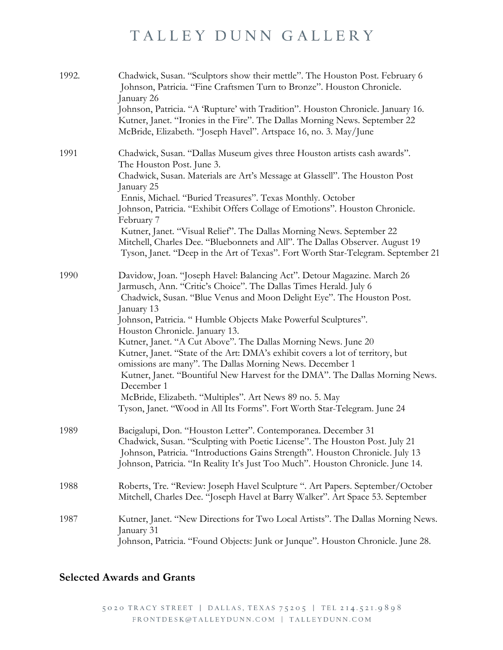| 1992. | Chadwick, Susan. "Sculptors show their mettle". The Houston Post. February 6<br>Johnson, Patricia. "Fine Craftsmen Turn to Bronze". Houston Chronicle.<br>January 26<br>Johnson, Patricia. "A 'Rupture' with Tradition". Houston Chronicle. January 16. |
|-------|---------------------------------------------------------------------------------------------------------------------------------------------------------------------------------------------------------------------------------------------------------|
|       | Kutner, Janet. "Ironies in the Fire". The Dallas Morning News. September 22<br>McBride, Elizabeth. "Joseph Havel". Artspace 16, no. 3. May/June                                                                                                         |
| 1991  | Chadwick, Susan. "Dallas Museum gives three Houston artists cash awards".<br>The Houston Post. June 3.                                                                                                                                                  |
|       | Chadwick, Susan. Materials are Art's Message at Glassell". The Houston Post<br>January 25                                                                                                                                                               |
|       | Ennis, Michael. "Buried Treasures". Texas Monthly. October                                                                                                                                                                                              |
|       | Johnson, Patricia. "Exhibit Offers Collage of Emotions". Houston Chronicle.<br>February 7                                                                                                                                                               |
|       | Kutner, Janet. "Visual Relief". The Dallas Morning News. September 22                                                                                                                                                                                   |
|       | Mitchell, Charles Dee. "Bluebonnets and All". The Dallas Observer. August 19<br>Tyson, Janet. "Deep in the Art of Texas". Fort Worth Star-Telegram. September 21                                                                                        |
| 1990  | Davidow, Joan. "Joseph Havel: Balancing Act". Detour Magazine. March 26                                                                                                                                                                                 |
|       | Jarmusch, Ann. "Critic's Choice". The Dallas Times Herald. July 6<br>Chadwick, Susan. "Blue Venus and Moon Delight Eye". The Houston Post.                                                                                                              |
|       | January 13                                                                                                                                                                                                                                              |
|       | Johnson, Patricia. "Humble Objects Make Powerful Sculptures".                                                                                                                                                                                           |
|       | Houston Chronicle. January 13.<br>Kutner, Janet. "A Cut Above". The Dallas Morning News. June 20                                                                                                                                                        |
|       | Kutner, Janet. "State of the Art: DMA's exhibit covers a lot of territory, but                                                                                                                                                                          |
|       | omissions are many". The Dallas Morning News. December 1                                                                                                                                                                                                |
|       | Kutner, Janet. "Bountiful New Harvest for the DMA". The Dallas Morning News.<br>December 1                                                                                                                                                              |
|       | McBride, Elizabeth. "Multiples". Art News 89 no. 5. May                                                                                                                                                                                                 |
|       | Tyson, Janet. "Wood in All Its Forms". Fort Worth Star-Telegram. June 24                                                                                                                                                                                |
| 1989  | Bacigalupi, Don. "Houston Letter". Contemporanea. December 31                                                                                                                                                                                           |
|       | Chadwick, Susan. "Sculpting with Poetic License". The Houston Post. July 21                                                                                                                                                                             |
|       | Johnson, Patricia. "Introductions Gains Strength". Houston Chronicle. July 13                                                                                                                                                                           |
|       | Johnson, Patricia. "In Reality It's Just Too Much". Houston Chronicle. June 14.                                                                                                                                                                         |
| 1988  | Roberts, Tre. "Review: Joseph Havel Sculpture ". Art Papers. September/October                                                                                                                                                                          |
|       | Mitchell, Charles Dee. "Joseph Havel at Barry Walker". Art Space 53. September                                                                                                                                                                          |
| 1987  | Kutner, Janet. "New Directions for Two Local Artists". The Dallas Morning News.                                                                                                                                                                         |
|       | January 31<br>Johnson, Patricia. "Found Objects: Junk or Junque". Houston Chronicle. June 28.                                                                                                                                                           |
|       |                                                                                                                                                                                                                                                         |

### **Selected Awards and Grants**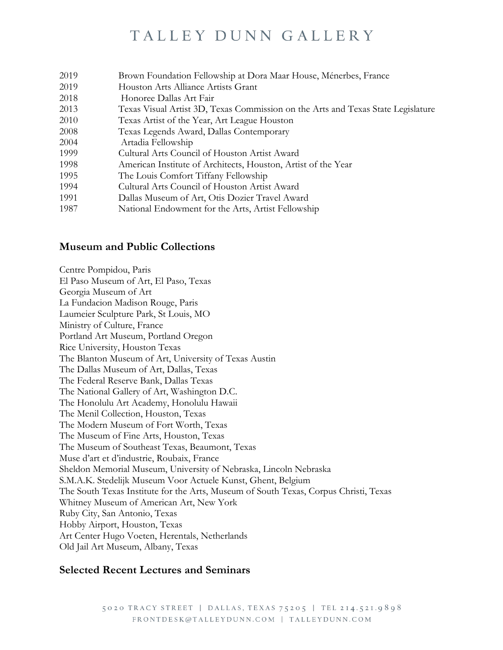| 2019 | Brown Foundation Fellowship at Dora Maar House, Ménerbes, France                 |
|------|----------------------------------------------------------------------------------|
| 2019 | Houston Arts Alliance Artists Grant                                              |
| 2018 | Honoree Dallas Art Fair                                                          |
| 2013 | Texas Visual Artist 3D, Texas Commission on the Arts and Texas State Legislature |
| 2010 | Texas Artist of the Year, Art League Houston                                     |
| 2008 | Texas Legends Award, Dallas Contemporary                                         |
| 2004 | Artadia Fellowship                                                               |
| 1999 | Cultural Arts Council of Houston Artist Award                                    |
| 1998 | American Institute of Architects, Houston, Artist of the Year                    |
| 1995 | The Louis Comfort Tiffany Fellowship                                             |
| 1994 | Cultural Arts Council of Houston Artist Award                                    |
| 1991 | Dallas Museum of Art, Otis Dozier Travel Award                                   |
| 1987 | National Endowment for the Arts, Artist Fellowship                               |
|      |                                                                                  |

#### **Museum and Public Collections**

Centre Pompidou, Paris El Paso Museum of Art, El Paso, Texas Georgia Museum of Art La Fundacion Madison Rouge, Paris Laumeier Sculpture Park, St Louis, MO Ministry of Culture, France Portland Art Museum, Portland Oregon Rice University, Houston Texas The Blanton Museum of Art, University of Texas Austin The Dallas Museum of Art, Dallas, Texas The Federal Reserve Bank, Dallas Texas The National Gallery of Art, Washington D.C. The Honolulu Art Academy, Honolulu Hawaii The Menil Collection, Houston, Texas The Modern Museum of Fort Worth, Texas The Museum of Fine Arts, Houston, Texas The Museum of Southeast Texas, Beaumont, Texas Muse d'art et d'industrie, Roubaix, France Sheldon Memorial Museum, University of Nebraska, Lincoln Nebraska S.M.A.K. Stedelijk Museum Voor Actuele Kunst, Ghent, Belgium The South Texas Institute for the Arts, Museum of South Texas, Corpus Christi, Texas Whitney Museum of American Art, New York Ruby City, San Antonio, Texas Hobby Airport, Houston, Texas Art Center Hugo Voeten, Herentals, Netherlands Old Jail Art Museum, Albany, Texas

#### **Selected Recent Lectures and Seminars**